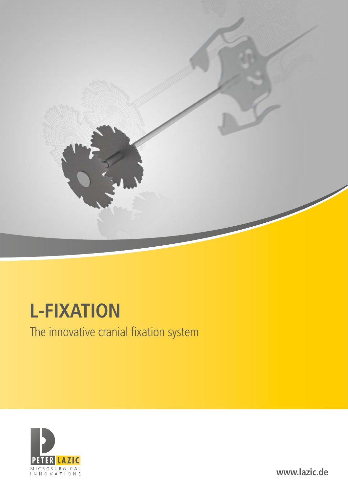

# **L-FIXATION**

The innovative cranial fixation system



**www.lazic.de**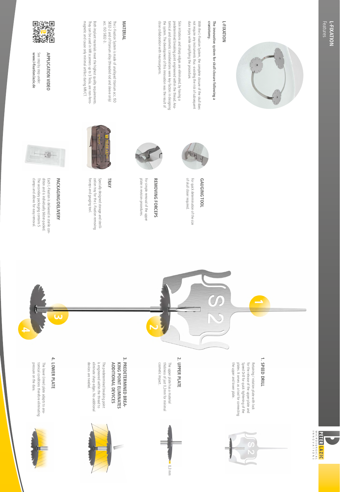

## L-FIXATION **L-FIXATION**

## craniotomy. The innovative system for skull closure following a **craniotomy. The innovative system for skull closure following a**

dura injury while simplitying the procedure. not require any instruments thus -avoiding the risk of subsequent With the L-Fixation System, the complete closure of the skull does dura injury while simplifying the procedure. not require any instruments thus -avoiding the risk of subsequent With the L-Fixation System, the complete closure of the skull does

of skull closer required.

of skull closer required.

**GAUGING TOOL**

**GAUGING TOOL** 

tomical and cosmetic considerations were key-factors in designing<br>the system. The development of this innovation was the result of close collaboration with neurosurgeons. predetermined breaking point engineered within the thread. Ana-Skin irritations and sharp edges are eliminated, by having a close collaboration with neurosurgeons. the system. The development of this innovation was the result of tomical and cosmetic considerations were key-factors in designing predetermined breaking point engineered within the thread. Ana Skin irritations and sharp edges are eliminated, by having a

## **MATERIAL MATERIAL**

acc. ISO 5832-3 5832-2 and of titanium alloy (threaded rod and sleeve only) The L-Fixation System is made of unalloyed titanium acc. ISO acc. ISO 5832-3. 5832-2 and of titanium alloy (threaded rod and sleeve only) The L-Fixation System is made of unalloyed titanium acc. ISO

magnetic and cause only minimal artifact during MR/CT. They can be used in MR scanners up to 3 Tesla, are non-ferro-Both implant materials meet the highest quality requirements magnetic and cause only minimal artifact during MR/CT. They can be used in MR scanners up to 3 Tesla, are non-ferro Both implant materials meet the highest quality requirements.



www.l-fixation.lazic.de APPLICATION VIDEO See step by step under: **www.l-fixation.lazic.de APPLICATION VIDEO** See step by step under:



Specially designed storage and sterili

Specially designed storage and sterili-<br>zation tray for the L-Fixation removing

forceps and gauging tool. zation tray for the L-Fixation removing

forceps and gauging tool.

**TRAY**

plate in revision-procedures. For simple removal of the upper **REMOVING FORCEPS**

For simple removal of the upper

REMOVING FORCEPS

plate in revision-procedures.

信

dition and is individually blister-packed. dition and is individually blister-packed. Each L-Fixation is delivered in sterile con-Each L-Fixation is delivered in sterile con



clamps and allows tor easy removal. clamps and allows for easy removal. The secondary packaging contains 5





cosmetic impact.

cosmetic impact.



4

The lower (inner) plate adapts to ana

**LOWER PLATE**



3. PREDETERMINED BREA-**PREDETERMINED BREA**devices are needed. eliminate sharp edges. No additional is engineered within the thread to The predetermined breaking point **ADDITIONAL DEVICES KING POINT ELIMINATES** 



2. **UPPER PLATE** The upper plate has a material<br>thickness of just 0,3mm for minimal The upper plate has a material **UPPER PLATE**





Retaining/rotation plate with lock<br>for the release of the upper plate and<br>Speed Drill for quick tightening of the the upper and lower plate. plates. It serves as a tool for connecting the upper and lower plate. plates. It serves as a tool for connecting Speed Drill for quick tightening of the for the release of the upper plate and Retaining / rotation plate with lock